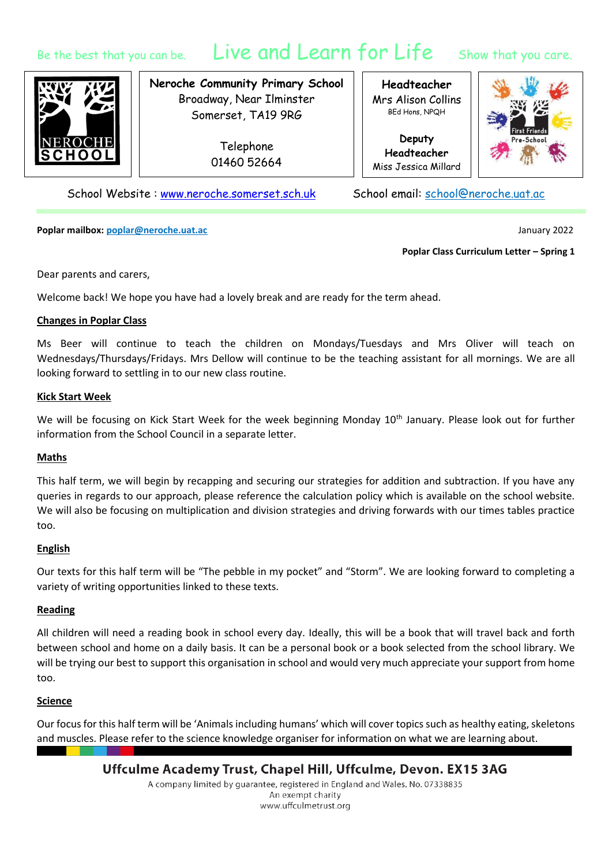# Be the best that you can be. Live and Learn for Life Show that you care.



**Neroche Community Primary School** Broadway, Near Ilminster Somerset, TA19 9RG

> Telephone 01460 52664

**Headteacher** Mrs Alison Collins BEd Hons, NPQH

**Deputy Headteacher** Miss Jessica Millard



School Website : [www.neroche.somerset.sch.uk](http://www.neroche.somerset.sch.uk/) School email: school@neroche.uat.ac

**Poplar mailbox: poplar@neroche.uat.ac** January 2022

#### **Poplar Class Curriculum Letter – Spring 1**

Dear parents and carers,

Welcome back! We hope you have had a lovely break and are ready for the term ahead.

# **Changes in Poplar Class**

Ms Beer will continue to teach the children on Mondays/Tuesdays and Mrs Oliver will teach on Wednesdays/Thursdays/Fridays. Mrs Dellow will continue to be the teaching assistant for all mornings. We are all looking forward to settling in to our new class routine.

#### **Kick Start Week**

We will be focusing on Kick Start Week for the week beginning Monday 10<sup>th</sup> January. Please look out for further information from the School Council in a separate letter.

# **Maths**

This half term, we will begin by recapping and securing our strategies for addition and subtraction. If you have any queries in regards to our approach, please reference the calculation policy which is available on the school website. We will also be focusing on multiplication and division strategies and driving forwards with our times tables practice too.

# **English**

Our texts for this half term will be "The pebble in my pocket" and "Storm". We are looking forward to completing a variety of writing opportunities linked to these texts.

# **Reading**

All children will need a reading book in school every day. Ideally, this will be a book that will travel back and forth between school and home on a daily basis. It can be a personal book or a book selected from the school library. We will be trying our best to support this organisation in school and would very much appreciate your support from home too.

# **Science**

Our focus for this half term will be 'Animals including humans' which will cover topics such as healthy eating, skeletons and muscles. Please refer to the science knowledge organiser for information on what we are learning about.

Uffculme Academy Trust, Chapel Hill, Uffculme, Devon. EX15 3AG

A company limited by guarantee, registered in England and Wales. No. 07338835 An exempt charity www.uffculmetrust.org